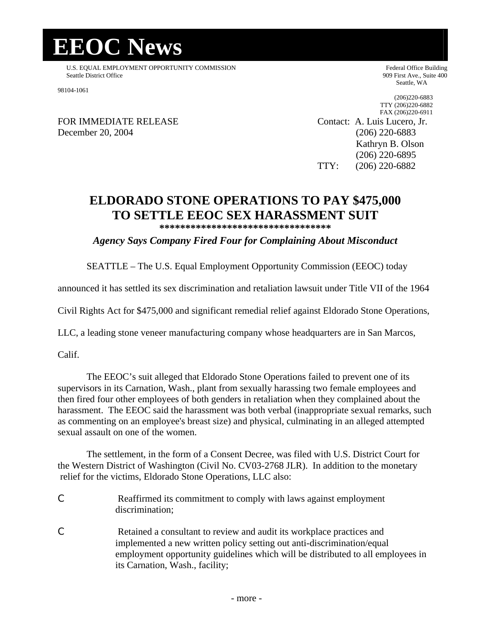## **EEOC News**

U.S. EQUAL EMPLOYMENT OPPORTUNITY COMMISSION Federal Office Building Seattle District Office 909 First Ave., Suite 400

98104-1061

Seattle, WA

(206)220-6883 TTY (206)220-6882

FOR IMMEDIATE RELEASE Contact: A. Luis Lucero, Jr. December 20, 2004 (206) 220-6883

FAX (206)220-6911 Kathryn B. Olson (206) 220-6895 TTY: (206) 220-6882

## **ELDORADO STONE OPERATIONS TO PAY \$475,000 TO SETTLE EEOC SEX HARASSMENT SUIT**

**\*\*\*\*\*\*\*\*\*\*\*\*\*\*\*\*\*\*\*\*\*\*\*\*\*\*\*\*\*\*\*\*\***

*Agency Says Company Fired Four for Complaining About Misconduct*

SEATTLE – The U.S. Equal Employment Opportunity Commission (EEOC) today

announced it has settled its sex discrimination and retaliation lawsuit under Title VII of the 1964

Civil Rights Act for \$475,000 and significant remedial relief against Eldorado Stone Operations,

LLC, a leading stone veneer manufacturing company whose headquarters are in San Marcos,

Calif.

The EEOC's suit alleged that Eldorado Stone Operations failed to prevent one of its supervisors in its Carnation, Wash., plant from sexually harassing two female employees and then fired four other employees of both genders in retaliation when they complained about the harassment. The EEOC said the harassment was both verbal (inappropriate sexual remarks, such as commenting on an employee's breast size) and physical, culminating in an alleged attempted sexual assault on one of the women.

The settlement, in the form of a Consent Decree, was filed with U.S. District Court for the Western District of Washington (Civil No. CV03-2768 JLR). In addition to the monetary relief for the victims, Eldorado Stone Operations, LLC also:

- C Reaffirmed its commitment to comply with laws against employment discrimination;
- C Retained a consultant to review and audit its workplace practices and implemented a new written policy setting out anti-discrimination/equal employment opportunity guidelines which will be distributed to all employees in its Carnation, Wash., facility;